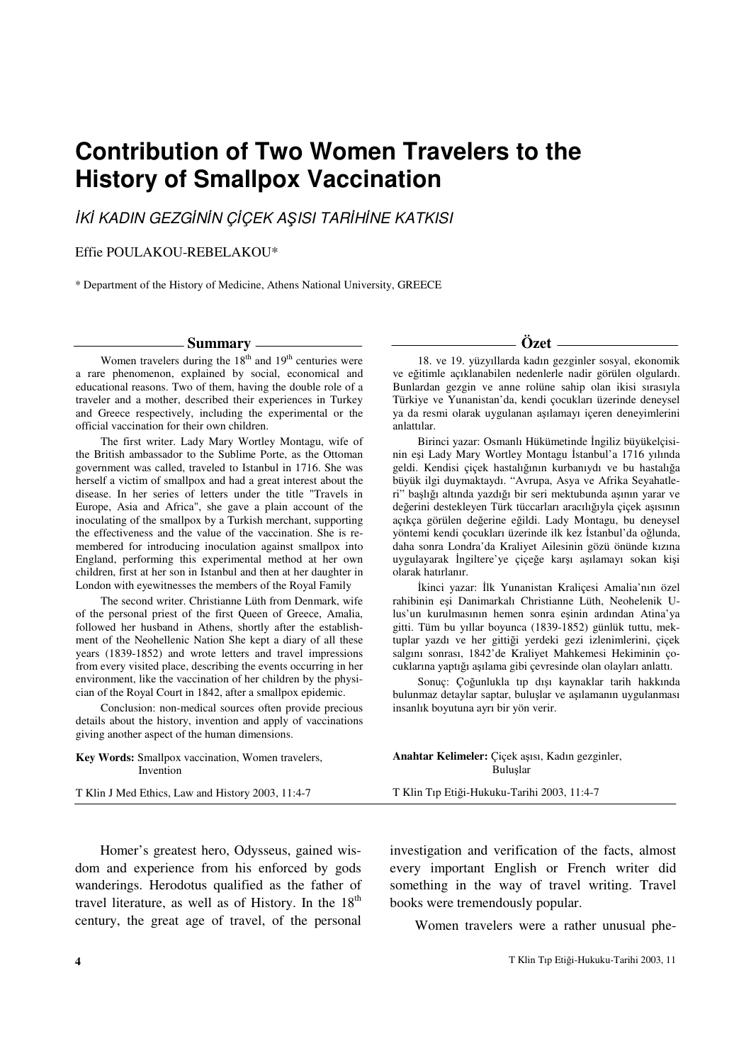# **Contribution of Two Women Travelers to the History of Smallpox Vaccination**

# İKİ KADIN GEZGİNİN ÇİÇEK AŞISI TARİHİNE KATKISI

#### Effie POULAKOU-REBELAKOU\*

\* Department of the History of Medicine, Athens National University, GREECE

#### **Summary**

Women travelers during the  $18<sup>th</sup>$  and  $19<sup>th</sup>$  centuries were a rare phenomenon, explained by social, economical and educational reasons. Two of them, having the double role of a traveler and a mother, described their experiences in Turkey and Greece respectively, including the experimental or the official vaccination for their own children.

The first writer. Lady Mary Wortley Montagu, wife of the British ambassador to the Sublime Porte, as the Ottoman government was called, traveled to Istanbul in 1716. She was herself a victim of smallpox and had a great interest about the disease. In her series of letters under the title "Travels in Europe, Asia and Africa", she gave a plain account of the inoculating of the smallpox by a Turkish merchant, supporting the effectiveness and the value of the vaccination. She is remembered for introducing inoculation against smallpox into England, performing this experimental method at her own children, first at her son in Istanbul and then at her daughter in London with eyewitnesses the members of the Royal Family

The second writer. Christianne Lüth from Denmark, wife of the personal priest of the first Queen of Greece, Amalia, followed her husband in Athens, shortly after the establishment of the Neohellenic Nation She kept a diary of all these years (1839-1852) and wrote letters and travel impressions from every visited place, describing the events occurring in her environment, like the vaccination of her children by the physician of the Royal Court in 1842, after a smallpox epidemic.

Conclusion: non-medical sources often provide precious details about the history, invention and apply of vaccinations giving another aspect of the human dimensions.

**Özet** 

18. ve 19. yüzyıllarda kadın gezginler sosyal, ekonomik ve eğitimle açıklanabilen nedenlerle nadir görülen olgulardı. Bunlardan gezgin ve anne rolüne sahip olan ikisi sırasıyla Türkiye ve Yunanistan'da, kendi çocukları üzerinde deneysel ya da resmi olarak uygulanan aşılamayı içeren deneyimlerini anlattılar.

Birinci yazar: Osmanlı Hükümetinde İngiliz büyükelçisinin eşi Lady Mary Wortley Montagu İstanbul'a 1716 yılında geldi. Kendisi çiçek hastalığının kurbanıydı ve bu hastalığa büyük ilgi duymaktaydı. "Avrupa, Asya ve Afrika Seyahatleri" başlığı altında yazdığı bir seri mektubunda aşının yarar ve değerini destekleyen Türk tüccarları aracılığıyla çiçek aşısının açıkça görülen değerine eğildi. Lady Montagu, bu deneysel yöntemi kendi çocukları üzerinde ilk kez İstanbul'da oğlunda, daha sonra Londra'da Kraliyet Ailesinin gözü önünde kızına uygulayarak İngiltere'ye çiçeğe karşı aşılamayı sokan kişi olarak hatırlanır.

İkinci yazar: İlk Yunanistan Kraliçesi Amalia'nın özel rahibinin eşi Danimarkalı Christianne Lüth, Neohelenik Ulus'un kurulmasının hemen sonra eşinin ardından Atina'ya gitti. Tüm bu yıllar boyunca (1839-1852) günlük tuttu, mektuplar yazdı ve her gittiği yerdeki gezi izlenimlerini, çiçek salgını sonrası, 1842'de Kraliyet Mahkemesi Hekiminin çocuklarına yaptığı aşılama gibi çevresinde olan olayları anlattı.

Sonuç: Çoğunlukla tıp dışı kaynaklar tarih hakkında bulunmaz detaylar saptar, buluşlar ve aşılamanın uygulanması insanlık boyutuna ayrı bir yön verir.

| <b>Key Words:</b> Smallpox vaccination, Women travelers, | Anahtar Kelimeler: Çiçek aşısı, Kadın gezginler, |
|----------------------------------------------------------|--------------------------------------------------|
| Invention                                                | Buluslar                                         |
| T Klin J Med Ethics, Law and History 2003, 11:4-7        | T Klin Tıp Etiği-Hukuku-Tarihi 2003, 11:4-7      |

Homer's greatest hero, Odysseus, gained wisdom and experience from his enforced by gods wanderings. Herodotus qualified as the father of travel literature, as well as of History. In the  $18<sup>th</sup>$ century, the great age of travel, of the personal

investigation and verification of the facts, almost every important English or French writer did something in the way of travel writing. Travel books were tremendously popular.

Women travelers were a rather unusual phe-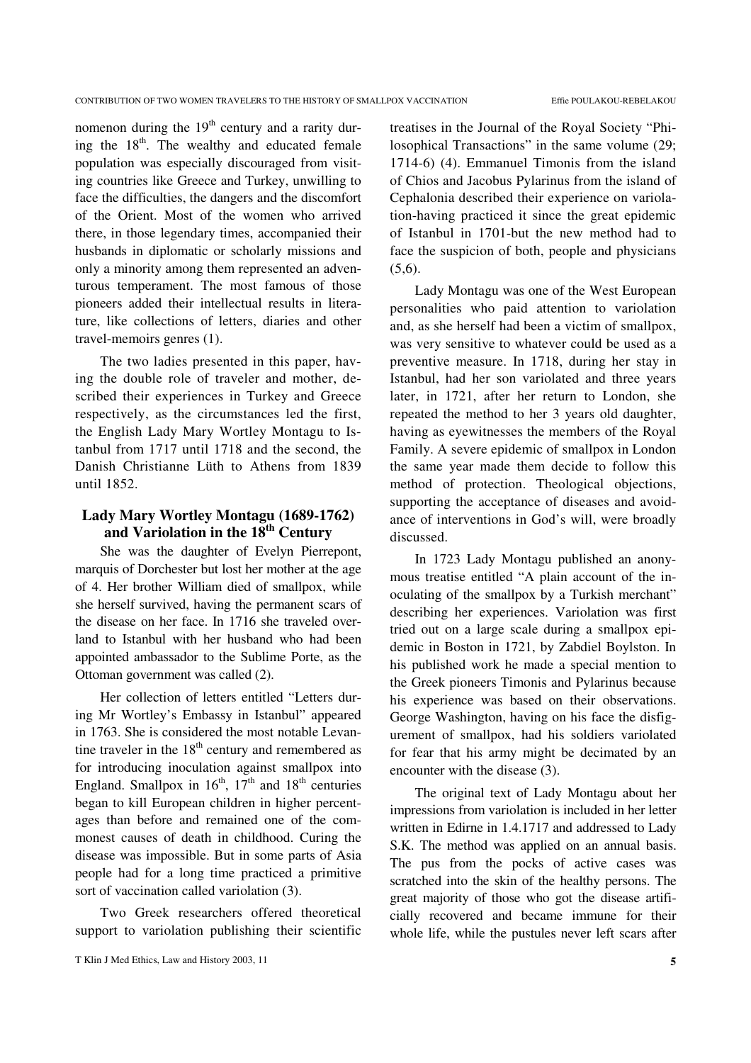nomenon during the  $19<sup>th</sup>$  century and a rarity during the  $18<sup>th</sup>$ . The wealthy and educated female population was especially discouraged from visiting countries like Greece and Turkey, unwilling to face the difficulties, the dangers and the discomfort of the Orient. Most of the women who arrived there, in those legendary times, accompanied their husbands in diplomatic or scholarly missions and only a minority among them represented an adventurous temperament. The most famous of those pioneers added their intellectual results in literature, like collections of letters, diaries and other travel-memoirs genres (1).

The two ladies presented in this paper, having the double role of traveler and mother, described their experiences in Turkey and Greece respectively, as the circumstances led the first, the English Lady Mary Wortley Montagu to Istanbul from 1717 until 1718 and the second, the Danish Christianne Lüth to Athens from 1839 until 1852.

## **Lady Mary Wortley Montagu (1689-1762) and Variolation in the 18th Century**

She was the daughter of Evelyn Pierrepont, marquis of Dorchester but lost her mother at the age of 4. Her brother William died of smallpox, while she herself survived, having the permanent scars of the disease on her face. In 1716 she traveled overland to Istanbul with her husband who had been appointed ambassador to the Sublime Porte, as the Ottoman government was called (2).

Her collection of letters entitled "Letters during Mr Wortley's Embassy in Istanbul" appeared in 1763. She is considered the most notable Levantine traveler in the  $18<sup>th</sup>$  century and remembered as for introducing inoculation against smallpox into England. Smallpox in  $16^{th}$ ,  $17^{th}$  and  $18^{th}$  centuries began to kill European children in higher percentages than before and remained one of the commonest causes of death in childhood. Curing the disease was impossible. But in some parts of Asia people had for a long time practiced a primitive sort of vaccination called variolation (3).

Two Greek researchers offered theoretical support to variolation publishing their scientific

treatises in the Journal of the Royal Society "Philosophical Transactions" in the same volume (29; 1714-6) (4). Emmanuel Timonis from the island of Chios and Jacobus Pylarinus from the island of Cephalonia described their experience on variolation-having practiced it since the great epidemic of Istanbul in 1701-but the new method had to face the suspicion of both, people and physicians  $(5,6).$ 

Lady Montagu was one of the West European personalities who paid attention to variolation and, as she herself had been a victim of smallpox, was very sensitive to whatever could be used as a preventive measure. In 1718, during her stay in Istanbul, had her son variolated and three years later, in 1721, after her return to London, she repeated the method to her 3 years old daughter, having as eyewitnesses the members of the Royal Family. A severe epidemic of smallpox in London the same year made them decide to follow this method of protection. Theological objections, supporting the acceptance of diseases and avoidance of interventions in God's will, were broadly discussed.

In 1723 Lady Montagu published an anonymous treatise entitled "A plain account of the inoculating of the smallpox by a Turkish merchant" describing her experiences. Variolation was first tried out on a large scale during a smallpox epidemic in Boston in 1721, by Zabdiel Boylston. In his published work he made a special mention to the Greek pioneers Timonis and Pylarinus because his experience was based on their observations. George Washington, having on his face the disfigurement of smallpox, had his soldiers variolated for fear that his army might be decimated by an encounter with the disease (3).

The original text of Lady Montagu about her impressions from variolation is included in her letter written in Edirne in 1.4.1717 and addressed to Lady S.K. The method was applied on an annual basis. The pus from the pocks of active cases was scratched into the skin of the healthy persons. The great majority of those who got the disease artificially recovered and became immune for their whole life, while the pustules never left scars after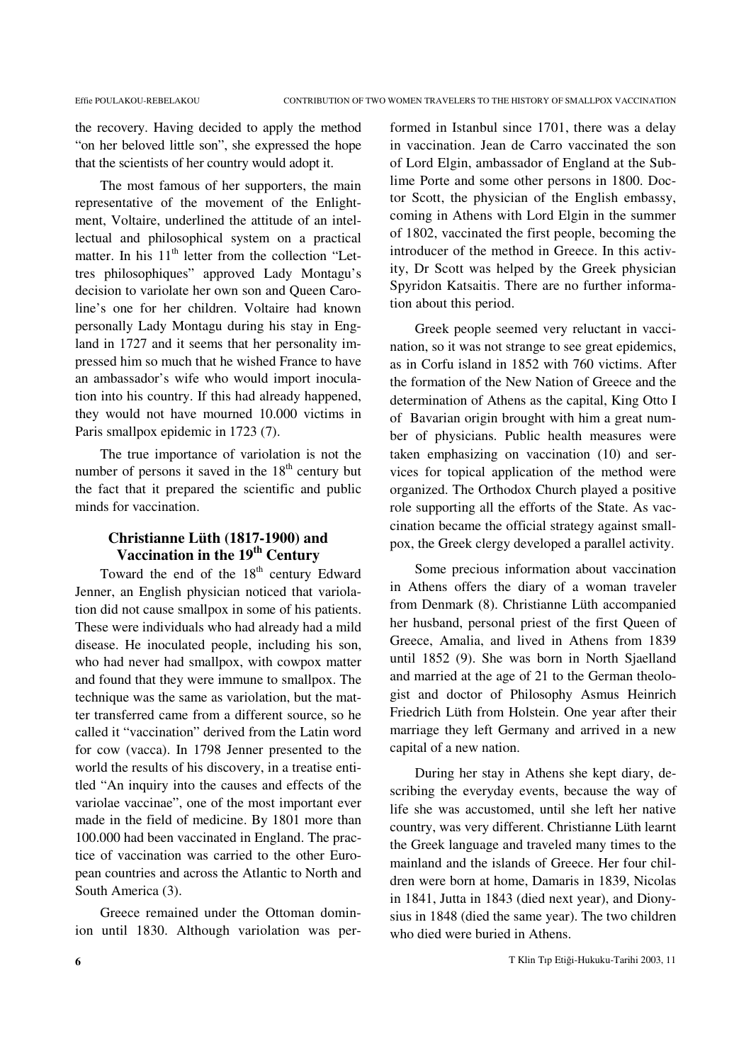the recovery. Having decided to apply the method "on her beloved little son", she expressed the hope that the scientists of her country would adopt it.

The most famous of her supporters, the main representative of the movement of the Enlightment, Voltaire, underlined the attitude of an intellectual and philosophical system on a practical matter. In his  $11<sup>th</sup>$  letter from the collection "Lettres philosophiques" approved Lady Montagu's decision to variolate her own son and Queen Caroline's one for her children. Voltaire had known personally Lady Montagu during his stay in England in 1727 and it seems that her personality impressed him so much that he wished France to have an ambassador's wife who would import inoculation into his country. If this had already happened, they would not have mourned 10.000 victims in Paris smallpox epidemic in 1723 (7).

The true importance of variolation is not the number of persons it saved in the  $18<sup>th</sup>$  century but the fact that it prepared the scientific and public minds for vaccination.

## **Christianne Lüth (1817-1900) and Vaccination in the 19th Century**

Toward the end of the  $18<sup>th</sup>$  century Edward Jenner, an English physician noticed that variolation did not cause smallpox in some of his patients. These were individuals who had already had a mild disease. He inoculated people, including his son, who had never had smallpox, with cowpox matter and found that they were immune to smallpox. The technique was the same as variolation, but the matter transferred came from a different source, so he called it "vaccination" derived from the Latin word for cow (vacca). In 1798 Jenner presented to the world the results of his discovery, in a treatise entitled "An inquiry into the causes and effects of the variolae vaccinae", one of the most important ever made in the field of medicine. By 1801 more than 100.000 had been vaccinated in England. The practice of vaccination was carried to the other European countries and across the Atlantic to North and South America (3).

Greece remained under the Ottoman dominion until 1830. Although variolation was per-

formed in Istanbul since 1701, there was a delay in vaccination. Jean de Carro vaccinated the son of Lord Elgin, ambassador of England at the Sublime Porte and some other persons in 1800. Doctor Scott, the physician of the English embassy, coming in Athens with Lord Elgin in the summer of 1802, vaccinated the first people, becoming the introducer of the method in Greece. In this activity, Dr Scott was helped by the Greek physician Spyridon Katsaitis. There are no further information about this period.

Greek people seemed very reluctant in vaccination, so it was not strange to see great epidemics, as in Corfu island in 1852 with 760 victims. After the formation of the New Nation of Greece and the determination of Athens as the capital, King Otto I of Bavarian origin brought with him a great number of physicians. Public health measures were taken emphasizing on vaccination (10) and services for topical application of the method were organized. The Orthodox Church played a positive role supporting all the efforts of the State. As vaccination became the official strategy against smallpox, the Greek clergy developed a parallel activity.

Some precious information about vaccination in Athens offers the diary of a woman traveler from Denmark (8). Christianne Lüth accompanied her husband, personal priest of the first Queen of Greece, Amalia, and lived in Athens from 1839 until 1852 (9). She was born in North Sjaelland and married at the age of 21 to the German theologist and doctor of Philosophy Asmus Heinrich Friedrich Lüth from Holstein. One year after their marriage they left Germany and arrived in a new capital of a new nation.

During her stay in Athens she kept diary, describing the everyday events, because the way of life she was accustomed, until she left her native country, was very different. Christianne Lüth learnt the Greek language and traveled many times to the mainland and the islands of Greece. Her four children were born at home, Damaris in 1839, Nicolas in 1841, Jutta in 1843 (died next year), and Dionysius in 1848 (died the same year). The two children who died were buried in Athens.